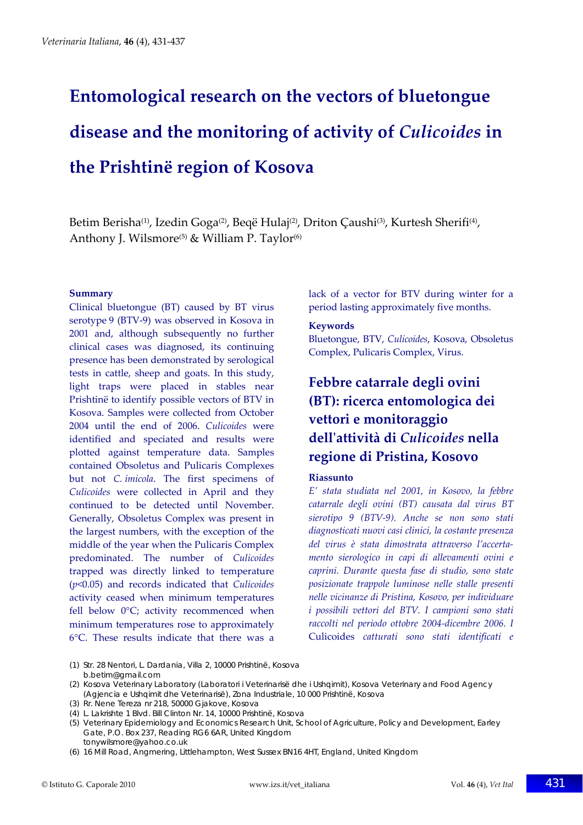# **Entomological research on the vectors of bluetongue disease and the monitoring of activity of** *Culicoides* **in the Prishtinë region of Kosova**

Betim Berisha<sup>(1)</sup>, Izedin Goga<sup>(2)</sup>, Beqë Hulaj<sup>(2)</sup>, Driton Çaushi<sup>(3)</sup>, Kurtesh Sherifi<sup>(4)</sup>, Anthony J. Wilsmore<sup>(5)</sup> & William P. Taylor<sup>(6)</sup>

#### **Summary**

Clinical bluetongue (BT) caused by BT virus serotype 9 (BTV‐9) was observed in Kosova in 2001 and, although subsequently no further clinical cases was diagnosed, its continuing presence has been demonstrated by serological tests in cattle, sheep and goats. In this study, light traps were placed in stables near Prishtinë to identify possible vectors of BTV in Kosova. Samples were collected from October 2004 until the end of 2006. *Culicoides* were identified and speciated and results were plotted against temperature data. Samples contained Obsoletus and Pulicaris Complexes but not *C. imicola*. The first specimens of *Culicoides* were collected in April and they continued to be detected until November. Generally, Obsoletus Complex was present in the largest numbers, with the exception of the middle of the year when the Pulicaris Complex predominated. The number of *Culicoides* trapped was directly linked to temperature (*p*<0.05) and records indicated that *Culicoides* activity ceased when minimum temperatures fell below 0°C; activity recommenced when minimum temperatures rose to approximately 6°C. These results indicate that there was a lack of a vector for BTV during winter for a period lasting approximately five months.

#### **Keywords**

Bluetongue, BTV, *Culicoides*, Kosova, Obsoletus Complex, Pulicaris Complex, Virus.

## **Febbre catarrale degli ovini (BT): ricerca entomologica dei vettori e monitoraggio dellʹattività di** *Culicoides* **nella regione di Pristina, Kosovo**

#### **Riassunto**

*E' stata studiata nel 2001, in Kosovo, la febbre catarrale degli ovini (BT) causata dal virus BT sierotipo 9 (BTV‐9). Anche se non sono stati diagnosticati nuovi casi clinici, la costante presenza del virus è stata dimostrata attraverso l'accerta‐ mento sierologico in capi di allevamenti ovini e caprini. Durante questa fase di studio, sono state posizionate trappole luminose nelle stalle presenti nelle vicinanze di Pristina, Kosovo, per individuare i possibili vettori del BTV. I campioni sono stati raccolti nel periodo ottobre 2004‐dicembre 2006. I* Culicoides *catturati sono stati identificati e*

- (1) Str. 28 Nentori, L. Dardania, Villa 2, 10000 Prishtinë, Kosova b.betim@gmail.com
- (2) Kosova Veterinary Laboratory (Laboratori i Veterinarisë dhe i Ushqimit), Kosova Veterinary and Food Agency (Agjencia e Ushqimit dhe Veterinarisë), Zona Industriale, 10 000 Prishtinë, Kosova
- (3) Rr. Nene Tereza nr 218, 50000 Gjakove, Kosova
- (4) L. Lakrishte 1 Blvd. Bill Clinton Nr. 14, 10000 Prishtinë, Kosova
- (5) Veterinary Epidemiology and Economics Research Unit, School of Agriculture, Policy and Development, Earley Gate, P.O. Box 237, Reading RG6 6AR, United Kingdom tonywilsmore@yahoo.co.uk
- (6) 16 Mill Road, Angmering, Littlehampton, West Sussex BN16 4HT, England, United Kingdom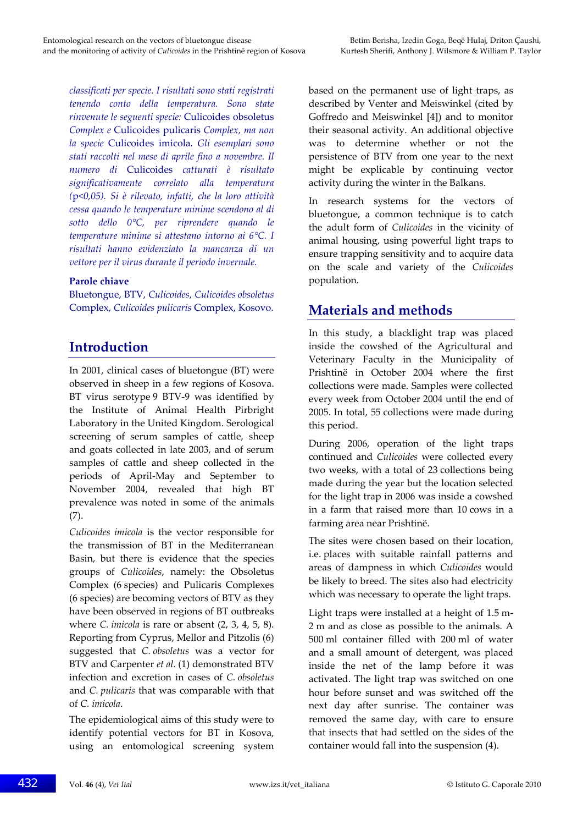*classificati per specie. I risultati sono stati registrati tenendo conto della temperatura. Sono state rinvenute le seguenti specie:* Culicoides obsoletus *Complex e* Culicoides pulicaris *Complex, ma non la specie* Culicoides imicola*. Gli esemplari sono stati raccolti nel mese di aprile fino a novembre. Il numero di* Culicoides *catturati è risultato significativamente correlato alla temperatura (*p*<0,05). Si è rilevato, infatti, che la loro attività cessa quando le temperature minime scendono al di sotto dello 0°C, per riprendere quando le temperature minime si attestano intorno ai 6°C. I risultati hanno evidenziato la mancanza di un vettore per il virus durante il periodo invernale.*

#### **Parole chiave**

Bluetongue, BTV, *Culicoides*, *Culicoides obsoletus* Complex, *Culicoides pulicaris* Complex, Kosovo.

## **Introduction**

In 2001, clinical cases of bluetongue (BT) were observed in sheep in a few regions of Kosova. BT virus serotype 9 BTV‐9 was identified by the Institute of Animal Health Pirbright Laboratory in the United Kingdom. Serological screening of serum samples of cattle, sheep and goats collected in late 2003, and of serum samples of cattle and sheep collected in the periods of April‐May and September to November 2004, revealed that high BT prevalence was noted in some of the animals (7).

*Culicoides imicola* is the vector responsible for the transmission of BT in the Mediterranean Basin, but there is evidence that the species groups of *Culicoides*, namely: the Obsoletus Complex (6 species) and Pulicaris Complexes (6 species) are becoming vectors of BTV as they have been observed in regions of BT outbreaks where *C. imicola* is rare or absent (2, 3, 4, 5, 8). Reporting from Cyprus, Mellor and Pitzolis (6) suggested that *C. obsoletus* was a vector for BTV and Carpenter *et al.* (1) demonstrated BTV infection and excretion in cases of *C. obsoletus* and *C. pulicaris* that was comparable with that of *C. imicola*.

The epidemiological aims of this study were to identify potential vectors for BT in Kosova, using an entomological screening system based on the permanent use of light traps, as described by Venter and Meiswinkel (cited by Goffredo and Meiswinkel [4]) and to monitor their seasonal activity. An additional objective was to determine whether or not the persistence of BTV from one year to the next might be explicable by continuing vector activity during the winter in the Balkans.

In research systems for the vectors of bluetongue, a common technique is to catch the adult form of *Culicoides* in the vicinity of animal housing, using powerful light traps to ensure trapping sensitivity and to acquire data on the scale and variety of the *Culicoides* population.

## **Materials and methods**

In this study, a blacklight trap was placed inside the cowshed of the Agricultural and Veterinary Faculty in the Municipality of Prishtinë in October 2004 where the first collections were made. Samples were collected every week from October 2004 until the end of 2005. In total, 55 collections were made during this period.

During 2006, operation of the light traps continued and *Culicoides* were collected every two weeks, with a total of 23 collections being made during the year but the location selected for the light trap in 2006 was inside a cowshed in a farm that raised more than 10 cows in a farming area near Prishtinë.

The sites were chosen based on their location, i.e. places with suitable rainfall patterns and areas of dampness in which *Culicoides* would be likely to breed. The sites also had electricity which was necessary to operate the light traps.

Light traps were installed at a height of 1.5 m‐ 2 m and as close as possible to the animals. A 500 ml container filled with 200 ml of water and a small amount of detergent, was placed inside the net of the lamp before it was activated. The light trap was switched on one hour before sunset and was switched off the next day after sunrise. The container was removed the same day, with care to ensure that insects that had settled on the sides of the container would fall into the suspension (4).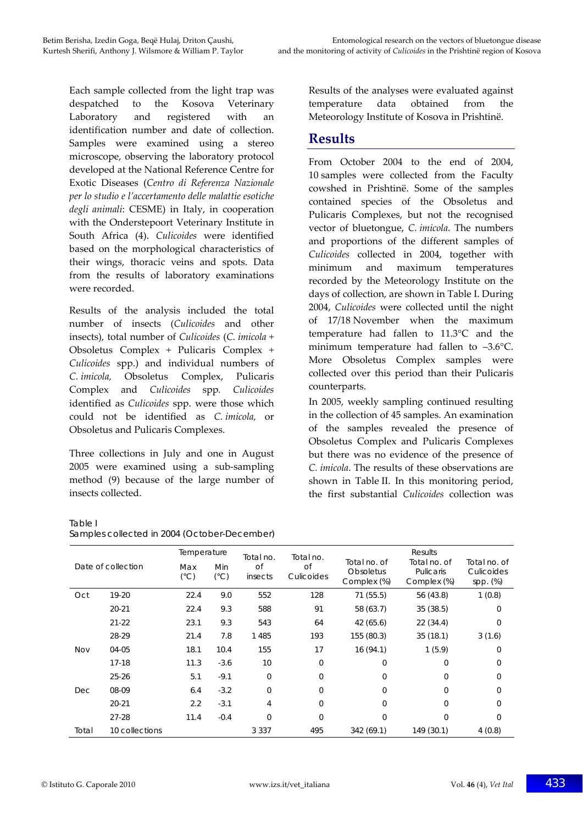Each sample collected from the light trap was despatched to the Kosova Veterinary Laboratory and registered with an identification number and date of collection. Samples were examined using a stereo microscope, observing the laboratory protocol developed at the National Reference Centre for Exotic Diseases (*Centro di Referenza Nazionale per lo studio e l'accertamento delle malattie esotiche degli animali*: CESME) in Italy, in cooperation with the Onderstepoort Veterinary Institute in South Africa (4). *Culicoides* were identified based on the morphological characteristics of their wings, thoracic veins and spots. Data from the results of laboratory examinations were recorded.

Results of the analysis included the total number of insects (*Culicoides* and other insects), total number of *Culicoides* (*C. imicola +* Obsoletus Complex *+* Pulicaris Complex *+ Culicoides* spp.) and individual numbers of *C. imicola,* Obsoletus Complex, Pulicaris Complex and *Culicoides* spp*. Culicoides* identified as *Culicoides* spp. were those which could not be identified as *C. imicola,* or Obsoletus and Pulicaris Complexes.

Three collections in July and one in August 2005 were examined using a sub‐sampling method (9) because of the large number of insects collected.

Results of the analyses were evaluated against temperature data obtained from the Meteorology Institute of Kosova in Prishtinë.

#### **Results**

From October 2004 to the end of 2004, 10 samples were collected from the Faculty cowshed in Prishtinë. Some of the samples contained species of the Obsoletus and Pulicaris Complexes, but not the recognised vector of bluetongue, *C. imicola*. The numbers and proportions of the different samples of *Culicoides* collected in 2004, together with minimum and maximum temperatures recorded by the Meteorology Institute on the days of collection, are shown in Table I. During 2004, *Culicoides* were collected until the night of 17/18 November when the maximum temperature had fallen to 11.3°C and the minimum temperature had fallen to –3.6°C. More Obsoletus Complex samples were collected over this period than their Pulicaris counterparts.

In 2005, weekly sampling continued resulting in the collection of 45 samples. An examination of the samples revealed the presence of Obsoletus Complex and Pulicaris Complexes but there was no evidence of the presence of *C. imicola*. The results of these observations are shown in Table II. In this monitoring period, the first substantial *Culicoides* collection was

#### Table I Samples collected in 2004 (October-December)

| Date of collection |                | Temperature          |                      | Total no.     | Total no.        | Results                                         |                                          |                                        |
|--------------------|----------------|----------------------|----------------------|---------------|------------------|-------------------------------------------------|------------------------------------------|----------------------------------------|
|                    |                | Max<br>$(^{\circ}C)$ | Min<br>$(^{\circ}C)$ | of<br>insects | Οf<br>Culicoides | Total no. of<br><b>Obsoletus</b><br>Complex (%) | Total no. of<br>Pulicaris<br>Complex (%) | Total no, of<br>Culicoides<br>spp. (%) |
| Oct                | 19-20          | 22.4                 | 9.0                  | 552           | 128              | 71(55.5)                                        | 56 (43.8)                                | 1(0.8)                                 |
|                    | $20 - 21$      | 22.4                 | 9.3                  | 588           | 91               | 58 (63.7)                                       | 35(38.5)                                 | 0                                      |
|                    | $21 - 22$      | 23.1                 | 9.3                  | 543           | 64               | 42(65.6)                                        | 22(34.4)                                 | $\mathbf 0$                            |
|                    | 28-29          | 21.4                 | 7.8                  | 1 4 8 5       | 193              | 155 (80.3)                                      | 35(18.1)                                 | 3(1.6)                                 |
| <b>Nov</b>         | 04-05          | 18.1                 | 10.4                 | 155           | 17               | 16(94.1)                                        | 1(5.9)                                   | 0                                      |
|                    | $17-18$        | 11.3                 | $-3.6$               | 10            | 0                | $\overline{0}$                                  | $\Omega$                                 | 0                                      |
|                    | $25 - 26$      | 5.1                  | $-9.1$               | $\mathbf 0$   | $\mathbf 0$      | $\overline{0}$                                  | $\Omega$                                 | $\Omega$                               |
| Dec                | 08-09          | 6.4                  | $-3.2$               | $\Omega$      | $\Omega$         | $\Omega$                                        | $\Omega$                                 | $\Omega$                               |
|                    | $20 - 21$      | 2.2                  | $-3.1$               | 4             | 0                | $\overline{0}$                                  | $\Omega$                                 | $\Omega$                               |
|                    | $27-28$        | 11.4                 | $-0.4$               | $\Omega$      | $\mathbf 0$      | $\mathbf 0$                                     | $\Omega$                                 | $\Omega$                               |
| Total              | 10 collections |                      |                      | 3 3 3 7       | 495              | 342(69.1)                                       | 149 (30.1)                               | 4(0.8)                                 |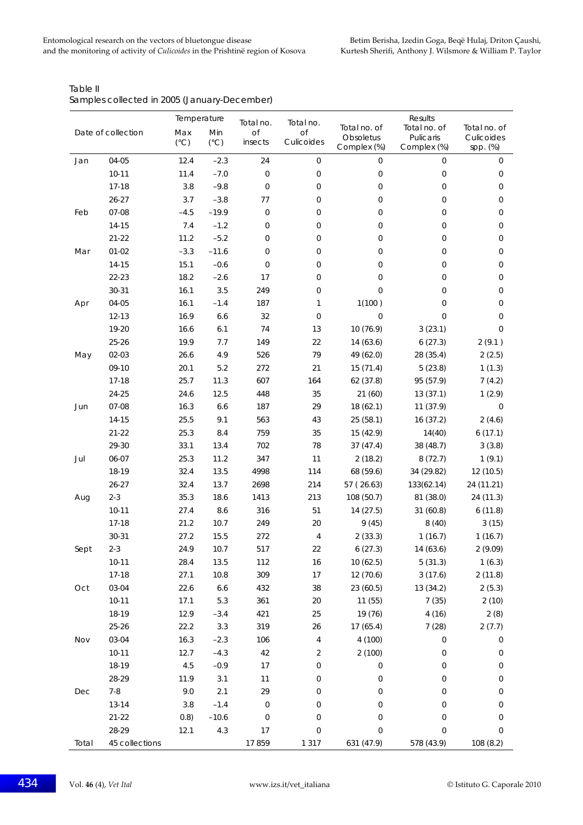| Date of collection |                | Temperature  |               |                        | Total no.           | Results                  |                          |                        |
|--------------------|----------------|--------------|---------------|------------------------|---------------------|--------------------------|--------------------------|------------------------|
|                    |                | Max          | Min           | Total no.<br><b>of</b> | Οf                  | Total no. of             | Total no. of             | Total no. of           |
|                    |                | $(^\circ C)$ | $(^{\circ}C)$ | insects                | Culicoides          | Obsoletus<br>Complex (%) | Pulicaris<br>Complex (%) | Culicoides<br>spp. (%) |
| Jan                | 04-05          | 12.4         | $-2.3$        | 24                     | $\mathbf 0$         | $\mathbf 0$              | $\overline{0}$           | 0                      |
|                    | $10 - 11$      | 11.4         | $-7.0$        | $\mathbf 0$            | 0                   | $\mathsf{O}\xspace$      | $\mathbf 0$              | 0                      |
|                    | $17 - 18$      | 3.8          | $-9.8$        | $\mathsf{O}\xspace$    | 0                   | $\mathsf{O}\xspace$      | 0                        | 0                      |
|                    | $26 - 27$      | 3.7          | $-3.8$        | 77                     | 0                   | $\mathbf 0$              | 0                        | 0                      |
| Feb                | 07-08          | $-4.5$       | $-19.9$       | $\mathsf{O}\xspace$    | 0                   | $\mathsf{O}\xspace$      | $\overline{0}$           | 0                      |
|                    | 14-15          | 7.4          | $-1.2$        | 0                      | 0                   | $\mathsf{O}\xspace$      | 0                        | 0                      |
|                    | $21 - 22$      | 11.2         | $-5.2$        | $\mathbf{0}$           | 0                   | $\mathbf 0$              | 0                        | 0                      |
| Mar                | $01 - 02$      | $-3.3$       | $-11.6$       | $\mathbf 0$            | 0                   | $\mathsf{O}\xspace$      | 0                        | 0                      |
|                    | 14-15          | 15.1         | $-0.6$        | $\mathbf 0$            | 0                   | $\mathsf{O}\xspace$      | 0                        | 0                      |
|                    | 22-23          | 18.2         | $-2.6$        | 17                     | 0                   | $\mathbf 0$              | $\overline{0}$           | 0                      |
|                    | $30 - 31$      | 16.1         | 3.5           | 249                    | 0                   | 0                        | 0                        | 0                      |
| Apr                | 04-05          | 16.1         | $-1.4$        | 187                    | 1                   | 1(100)                   | 0                        | 0                      |
|                    | $12 - 13$      | 16.9         | 6.6           | 32                     | $\mathbf 0$         | $\overline{0}$           | 0                        | 0                      |
|                    | 19-20          | 16.6         | 6.1           | 74                     | 13                  | 10 (76.9)                | 3(23.1)                  | 0                      |
|                    | $25 - 26$      | 19.9         | 7.7           | 149                    | 22                  | 14(63.6)                 | 6(27.3)                  | 2(9.1)                 |
| May                | $02 - 03$      | 26.6         | 4.9           | 526                    | 79                  | 49 (62.0)                | 28 (35.4)                | 2(2.5)                 |
|                    | 09-10          | 20.1         | 5.2           | 272                    | 21                  | 15(71.4)                 | 5(23.8)                  | 1(1.3)                 |
|                    | $17 - 18$      | 25.7         | 11.3          | 607                    | 164                 | 62 (37.8)                | 95 (57.9)                | 7(4.2)                 |
|                    | 24-25          | 24.6         | 12.5          | 448                    | 35                  | 21(60)                   | 13(37.1)                 | 1(2.9)                 |
| Jun                | 07-08          | 16.3         | 6.6           | 187                    | 29                  | 18 (62.1)                | 11(37.9)                 | 0                      |
|                    | 14-15          | 25.5         | 9.1           | 563                    | 43                  | 25 (58.1)                | 16 (37.2)                | 2(4.6)                 |
|                    | $21 - 22$      | 25.3         | 8.4           | 759                    | 35                  | 15 (42.9)                | 14(40)                   | 6(17.1)                |
|                    | 29-30          | 33.1         | 13.4          | 702                    | 78                  | 37(47.4)                 | 38 (48.7)                | 3(3.8)                 |
| Jul                | 06-07          | 25.3         | 11.2          | 347                    | 11                  | 2(18.2)                  | 8(72.7)                  | 1(9.1)                 |
|                    | 18-19          | 32.4         | 13.5          | 4998                   | 114                 | 68 (59.6)                | 34 (29.82)               | 12 (10.5)              |
|                    | $26 - 27$      | 32.4         | 13.7          | 2698                   | 214                 | 57 (26.63)               | 133(62.14)               | 24 (11.21)             |
| Aug                | $2 - 3$        | 35.3         | 18.6          | 1413                   | 213                 | 108 (50.7)               | 81 (38.0)                | 24 (11.3)              |
|                    | $10 - 11$      | 27.4         | 8.6           | 316                    | 51                  | 14 (27.5)                | 31(60.8)                 | 6(11.8)                |
|                    | $17-18$        | 21.2         | 10.7          | 249                    | 20                  | 9(45)                    | 8(40)                    | 3(15)                  |
|                    | $30 - 31$      | 27.2         | 15.5          | 272                    | 4                   | 2(33.3)                  | 1(16.7)                  | 1(16.7)                |
| Sept               | $2 - 3$        | 24.9         | 10.7          | 517                    | 22                  | 6(27.3)                  | 14 (63.6)                | 2(9.09)                |
|                    | $10 - 11$      | 28.4         | 13.5          | 112                    | 16                  | 10(62.5)                 | 5(31.3)                  | 1(6.3)                 |
|                    | $17 - 18$      | 27.1         | 10.8          | 309                    | 17                  | 12 (70.6)                | 3(17.6)                  | 2(11.8)                |
| Oct                | 03-04          | 22.6         | $6.6$         | 432                    | 38                  | 23 (60.5)                | 13 (34.2)                | 2(5.3)                 |
|                    | $10 - 11$      | 17.1         | 5.3           | 361                    | 20                  | 11(55)                   | 7(35)                    | 2(10)                  |
|                    | 18-19          | 12.9         | $-3.4$        | 421                    | 25                  | 19 (76)                  | 4(16)                    | 2(8)                   |
|                    | $25 - 26$      | 22.2         | 3.3           | 319                    | 26                  | 17(65.4)                 | 7(28)                    | 2(7.7)                 |
| Nov                | 03-04          | 16.3         | $-2.3$        | 106                    | $\overline{4}$      | 4(100)                   | 0                        | 0                      |
|                    | $10 - 11$      | 12.7         | $-4.3$        | 42                     | 2                   | 2(100)                   | $\mathbf 0$              | 0                      |
|                    | 18-19          | 4.5          | $-0.9$        | 17                     | 0                   | $\boldsymbol{0}$         | 0                        | 0                      |
|                    | 28-29          | 11.9         | 3.1           | 11                     | 0                   | $\mathsf{O}\xspace$      | 0                        | 0                      |
| Dec                | $7 - 8$        | 9.0          | 2.1           | 29                     | 0                   | $\boldsymbol{0}$         | 0                        | 0                      |
|                    | $13 - 14$      | 3.8          | $-1.4$        | $\mathsf{O}\xspace$    | $\mathbf 0$         | $\mathsf{O}\xspace$      | 0                        | 0                      |
|                    | $21 - 22$      | 0.8)         | $-10.6$       | $\mathsf{O}\xspace$    | 0                   | $\mathsf{O}\xspace$      | 0                        | 0                      |
|                    | 28-29          | 12.1         | 4.3           | 17                     | $\mathsf{O}\xspace$ | 0                        | 0                        | 0                      |
| Total              | 45 collections |              |               | 17859                  | 1 3 1 7             | 631 (47.9)               | 578 (43.9)               | 108 (8.2)              |

Table II Samples collected in 2005 (January-December)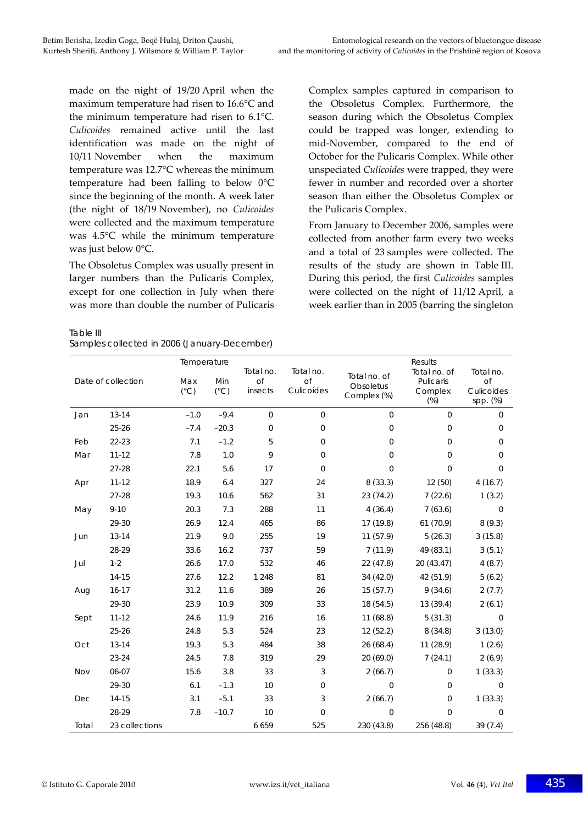made on the night of 19/20 April when the maximum temperature had risen to 16.6°C and the minimum temperature had risen to 6.1°C. *Culicoides* remained active until the last identification was made on the night of 10/11 November when the maximum temperature was 12.7°C whereas the minimum temperature had been falling to below 0°C since the beginning of the month. A week later (the night of 18/19 November), no *Culicoides* were collected and the maximum temperature was 4.5°C while the minimum temperature was just below 0°C.

The Obsoletus Complex was usually present in larger numbers than the Pulicaris Complex, except for one collection in July when there was more than double the number of Pulicaris

Table III

| Samples collected in 2006 (January-December) |  |
|----------------------------------------------|--|
|----------------------------------------------|--|

Complex samples captured in comparison to the Obsoletus Complex. Furthermore, the season during which the Obsoletus Complex could be trapped was longer, extending to mid‐November, compared to the end of October for the Pulicaris Complex. While other unspeciated *Culicoides* were trapped, they were fewer in number and recorded over a shorter season than either the Obsoletus Complex or the Pulicaris Complex.

From January to December 2006, samples were collected from another farm every two weeks and a total of 23 samples were collected. The results of the study are shown in Table III. During this period, the first *Culicoides* samples were collected on the night of 11/12 April, a week earlier than in 2005 (barring the singleton

| Date of collection |                | Temperature          |                      |                            |                                      |                                          | Results                                      |                                           |
|--------------------|----------------|----------------------|----------------------|----------------------------|--------------------------------------|------------------------------------------|----------------------------------------------|-------------------------------------------|
|                    |                | Max<br>$(^{\circ}C)$ | Min<br>$(^{\circ}C)$ | Total no.<br>of<br>insects | Total no.<br><b>of</b><br>Culicoides | Total no. of<br>Obsoletus<br>Complex (%) | Total no. of<br>Pulicaris<br>Complex<br>(% ) | Total no.<br>of<br>Culicoides<br>spp. (%) |
| Jan                | $13 - 14$      | $-1.0$               | $-9.4$               | $\mathbf{O}$               | $\mathbf{O}$                         | $\Omega$                                 | $\Omega$                                     | $\mathbf{0}$                              |
|                    | $25 - 26$      | $-7.4$               | $-20.3$              | $\mathbf{0}$               | $\overline{0}$                       | $\mathbf 0$                              | $\mathbf 0$                                  | 0                                         |
| Feb                | 22-23          | 7.1                  | $-1.2$               | 5                          | $\overline{0}$                       | $\Omega$                                 | $\Omega$                                     | $\mathbf 0$                               |
| Mar                | $11 - 12$      | 7.8                  | 1.0                  | 9                          | $\mathbf 0$                          | 0                                        | $\mathbf 0$                                  | 0                                         |
|                    | $27 - 28$      | 22.1                 | 5.6                  | 17                         | $\overline{0}$                       | $\Omega$                                 | $\Omega$                                     | $\mathbf 0$                               |
| Apr                | $11 - 12$      | 18.9                 | 6.4                  | 327                        | 24                                   | 8(33.3)                                  | 12 (50)                                      | 4(16.7)                                   |
|                    | $27 - 28$      | 19.3                 | 10.6                 | 562                        | 31                                   | 23 (74.2)                                | 7(22.6)                                      | 1(3.2)                                    |
| May                | $9 - 10$       | 20.3                 | 7.3                  | 288                        | 11                                   | 4(36.4)                                  | 7(63.6)                                      | $\mathbf{0}$                              |
|                    | 29-30          | 26.9                 | 12.4                 | 465                        | 86                                   | 17 (19.8)                                | 61(70.9)                                     | 8(9.3)                                    |
| Jun                | $13 - 14$      | 21.9                 | 9.0                  | 255                        | 19                                   | 11(57.9)                                 | 5(26.3)                                      | 3(15.8)                                   |
|                    | 28-29          | 33.6                 | 16.2                 | 737                        | 59                                   | 7(11.9)                                  | 49 (83.1)                                    | 3(5.1)                                    |
| Jul                | $1 - 2$        | 26.6                 | 17.0                 | 532                        | 46                                   | 22 (47.8)                                | 20 (43.47)                                   | 4(8.7)                                    |
|                    | $14 - 15$      | 27.6                 | 12.2                 | 1 2 4 8                    | 81                                   | 34(42.0)                                 | 42 (51.9)                                    | 5(6.2)                                    |
| Aug                | $16 - 17$      | 31.2                 | 11.6                 | 389                        | 26                                   | 15(57.7)                                 | 9(34.6)                                      | 2(7.7)                                    |
|                    | 29-30          | 23.9                 | 10.9                 | 309                        | 33                                   | 18 (54.5)                                | 13(39.4)                                     | 2(6.1)                                    |
| Sept               | $11 - 12$      | 24.6                 | 11.9                 | 216                        | 16                                   | 11(68.8)                                 | 5(31.3)                                      | $\mathbf{0}$                              |
|                    | $25 - 26$      | 24.8                 | 5.3                  | 524                        | 23                                   | 12(52.2)                                 | 8(34.8)                                      | 3(13.0)                                   |
| Oct                | $13 - 14$      | 19.3                 | 5.3                  | 484                        | 38                                   | 26(68.4)                                 | 11(28.9)                                     | 1(2.6)                                    |
|                    | $23 - 24$      | 24.5                 | 7.8                  | 319                        | 29                                   | 20(69.0)                                 | 7(24.1)                                      | 2(6.9)                                    |
| Nov                | 06-07          | 15.6                 | 3.8                  | 33                         | 3                                    | 2(66.7)                                  | $\Omega$                                     | 1(33.3)                                   |
|                    | 29-30          | 6.1                  | $-1.3$               | 10                         | $\mathbf 0$                          | $\Omega$                                 | $\Omega$                                     | $\mathbf{0}$                              |
| Dec                | 14-15          | 3.1                  | $-5.1$               | 33                         | 3                                    | 2(66.7)                                  | $\mathbf 0$                                  | 1(33.3)                                   |
|                    | 28-29          | 7.8                  | $-10.7$              | 10                         | $\mathbf 0$                          | $\Omega$                                 | $\Omega$                                     | $\mathbf{0}$                              |
| Total              | 23 collections |                      |                      | 6659                       | 525                                  | 230 (43.8)                               | 256 (48.8)                                   | 39(7.4)                                   |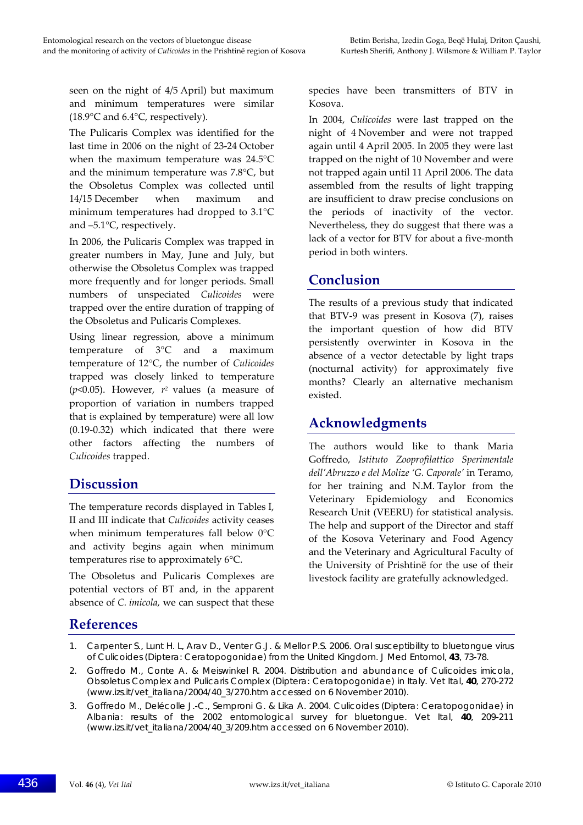seen on the night of 4/5 April) but maximum and minimum temperatures were similar (18.9°C and 6.4°C, respectively).

The Pulicaris Complex was identified for the last time in 2006 on the night of 23‐24 October when the maximum temperature was 24.5°C and the minimum temperature was 7.8°C, but the Obsoletus Complex was collected until 14/15 December when maximum and minimum temperatures had dropped to 3.1°C and –5.1°C, respectively.

In 2006, the Pulicaris Complex was trapped in greater numbers in May, June and July, but otherwise the Obsoletus Complex was trapped more frequently and for longer periods. Small numbers of unspeciated *Culicoides* were trapped over the entire duration of trapping of the Obsoletus and Pulicaris Complexes.

Using linear regression, above a minimum temperature of 3°C and a maximum temperature of 12°C, the number of *Culicoides* trapped was closely linked to temperature (*p*<0.05). However, *r2* values (a measure of proportion of variation in numbers trapped that is explained by temperature) were all low (0.19‐0.32) which indicated that there were other factors affecting the numbers of *Culicoides* trapped.

## **Discussion**

The temperature records displayed in Tables I, II and III indicate that *Culicoides* activity ceases when minimum temperatures fall below 0°C and activity begins again when minimum temperatures rise to approximately 6°C.

The Obsoletus and Pulicaris Complexes are potential vectors of BT and, in the apparent absence of *C. imicola*, we can suspect that these

species have been transmitters of BTV in Kosova.

In 2004, *Culicoides* were last trapped on the night of 4 November and were not trapped again until 4 April 2005. In 2005 they were last trapped on the night of 10 November and were not trapped again until 11 April 2006. The data assembled from the results of light trapping are insufficient to draw precise conclusions on the periods of inactivity of the vector. Nevertheless, they do suggest that there was a lack of a vector for BTV for about a five-month period in both winters.

#### **Conclusion**

The results of a previous study that indicated that BTV‐9 was present in Kosova (7), raises the important question of how did BTV persistently overwinter in Kosova in the absence of a vector detectable by light traps (nocturnal activity) for approximately five months? Clearly an alternative mechanism existed.

## **Acknowledgments**

The authors would like to thank Maria Goffredo, *Istituto Zooprofilattico Sperimentale dell'Abruzzo e del Molize 'G. Caporale'* in Teramo, for her training and N.M. Taylor from the Veterinary Epidemiology and Economics Research Unit (VEERU) for statistical analysis. The help and support of the Director and staff of the Kosova Veterinary and Food Agency and the Veterinary and Agricultural Faculty of the University of Prishtinë for the use of their livestock facility are gratefully acknowledged.

## **References**

- 1. Carpenter S., Lunt H. L, Arav D., Venter G.J. & Mellor P.S. 2006. Oral susceptibility to bluetongue virus of *Culicoides* (Diptera: Ceratopogonidae) from the United Kingdom. *J Med Entomol*, **43**, 73-78.
- 2. Goffredo M., Conte A. & Meiswinkel R. 2004. Distribution and abundance of *Culicoides imicola*, Obsoletus Complex and Pulicaris Complex (Diptera: Ceratopogonidae) in Italy. *Vet Ital*, **40**, 270-272 (www.izs.it/vet\_italiana/2004/40\_3/270.htm accessed on 6 November 2010).
- 3. Goffredo M., Delécolle J.-C., Semproni G. & Lika A. 2004. *Culicoides* (Diptera: Ceratopogonidae) in Albania: results of the 2002 entomological survey for bluetongue. *Vet Ital*, **40**, 209-211 (www.izs.it/vet\_italiana/2004/40\_3/209.htm accessed on 6 November 2010).